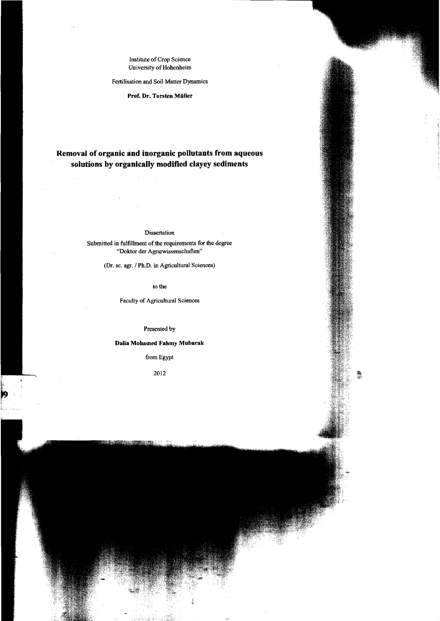# Institute of Crop Science University of Hohenheim

### Fertilisation and Soi! Matter Dynamics

## Prof. Dr. Torsten Müller

# **Removal of organic and inorganic pollutants from aqueous solutions by organically modified clayey sediments**

#### Dissertation

Submitted in fulfillment of the requirements for the degree "Doktor der Agrarwissenschaften"

(Dr. sc. agr. / Ph.D. in Agricultural Sciences)

to the

Faculty of Agricultural Sciences

Presented by

# **Dalia Mohamed Fahmy Mubarak**

fromEgypt

2012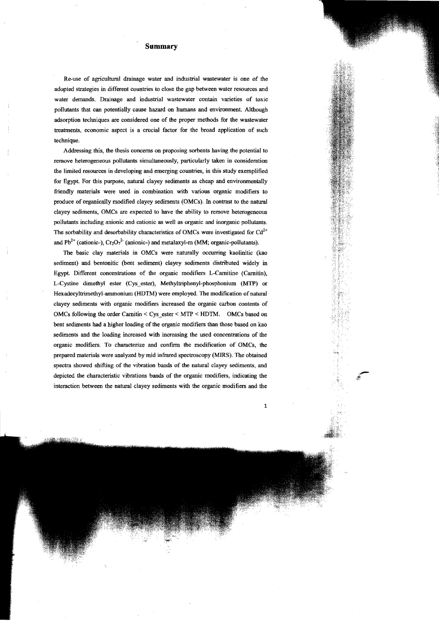## **Summary**

Re-use of agrieultural drainage water and industrial wastewater is one of the adopted strategies in different eountries to elose the gap between water resourees and water demands. Drainage and industrial wastewater eontain varieties of toxie pollutants that can potentially cause hazard on humans and environment. Although adsorption techniques are eonsidered one of the proper methods for the wastewater treatments, economie aspect is a crueial faetor for the broad applieation of such technique.

Addressing this, the thesis eoneerns on proposing sorbents having the potential to remove heterogeneous pollutants simultaneously, particularly taken in consideration the limited resourees in deve10ping and emerging countries, in this study exernplified for Egypt. For this purpose, natural elayey sediments as eheap and environmentally friendly materials were used in eombination with various organie modifiers to produee of organica1ly modified elayey sediments (OMCs). In contrast 10 the natural clayey sediments. OMCs are expected to have the ability to remove heterogeneous pollutants including anionic and cationic as well as organic and inorganic pollutants. The sorbability and desorbability characteristics of OMCs were investigated for  $Cd^{2+}$ and Pb<sup>2+</sup> (cationic-),  $Cr_2O_7^2$ - (anionic-) and metalaxyl-m (MM; organic-pollutants).

The basic elay materials in OMCs were naturally occurring kaolinitic (kao sediment) and bentonitic (bent sediment) clayey sediments distributed widely in Egypt. Different concentrations of the organic modifiers L-Carnitine· (Carnitin), L-Cystine dimethyl ester (Cys\_ester), Methyltriphenyl-phosphonium (MTP) or Hexadecyltrimethyl-ammonium (HDTM) were employed. The modification of natural c1ayey sediments with organic modifiers increased the organie carbon contents of OMCs following the order Carnitin < Cys\_ester< MTP < HDTM. OMCs based on bent sediments had a higher loading of the organie modifiers than those based on kao sediments and the loading increased with increasing the used concentrations of the organic modifiers. To characterize and confrrm the modification of OMCs, the prepared materials were analyzed by mid infrared spectroscopy (MIRS). The obtained spectra showed shifting of the vibration bands of the natural clayey sediments, and depicted the characteristic vibrations bands of the organic modifiers, indicating the interaction between the natural elayey sediments with the organic modifiers and the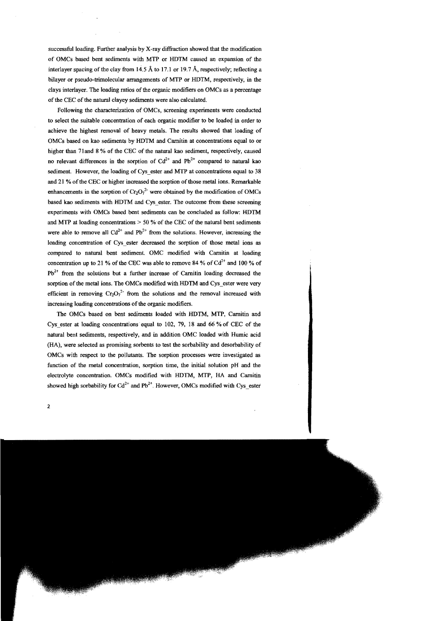successful loading. Further analysis by X-ray diffraction showed that the modification of OMCs based bent sediments with MTP or HDTM caused an expansion of the interlayer spacing of the clay from 14.5 Å to 17.1 or 19.7 Å, respectively; reflecting a bilayer or pseudo-trimolecular arrangements of MI'P or HDTM, respectively, in the clays interlayer. The loading ratios of the organic modifiers on OMCs as a percentage of the CEC of the natural clayey sediments were also calculated.

Following the characterization of OMCs, screening experiments were conducted to seleet the suitable concentration of each organie modifier to be loaded in order to achieve the highest removal of heavy metals. The results showed that loading of OMCs based on kao sediments by HDTM and Carnitin at concentrations equal to or higher than 71 and 8 % of the CEC of the natural kao sediment, respectively, caused no relevant differences in the sorption of  $Cd^{2+}$  and  $Pb^{2+}$  compared to natural kao sediment. However, the loading of Cys ester and MTP at concentrations equal to 38 and 21 % of the CEC or higher increased the sorption of those metal ions. Remarkable enhancements in the sorption of  $Cr_2O_7^2$  were obtained by the modification of OMCs based kao sediments with HDTM and Cys \_ester. The outcome from these screening experiments with OMCs based bent sediments can be concluded as follow: HDTM and MTP at loading concentrations  $> 50$  % of the CEC of the natural bent sediments were able to remove all  $Cd^{2+}$  and  $Pb^{2+}$  from the solutions. However, increasing the loading concentration of Cys ester decreased the sorption of those metal ions as compared to natural bent sediment OMC modified with Carnitin at loading concentration up to 21 % of the CEC was able to remove 84 % of  $Cd^{2+}$  and 100 % of  $Pb^{2+}$  from the solutions but a further increase of Carnitin loading decreased the sorption of the metal ions. The OMCs modified with HDTM and Cys\_ester were very efficient in removing  $Cr_2O_7^2$  from the solutions and the removal increased with increasing loading concentrations of the organic modifiers.

The OMCs based on bent sediments loaded with HDTM, MTP, Carnitin and Cys ester at loading concentrations equal to 102, 79, 18 and 66 % of CEC of the natural bent sediments, respectively, and in addition OMC loaded with Humic acid (HA), were selected as promising sorbents to test the sorbability and desorbability of OMCs with respect to the poJlutants. The sorption processes were investigated as function of the metal concentration, sorption time, the initial solution pH and the electrolyte concentration. OMCs modified with HDTM, MTP, HA and Carnitin showed high sorbability for  $Cd^{2+}$  and  $Pb^{2+}$ . However, OMCs modified with Cys\_ester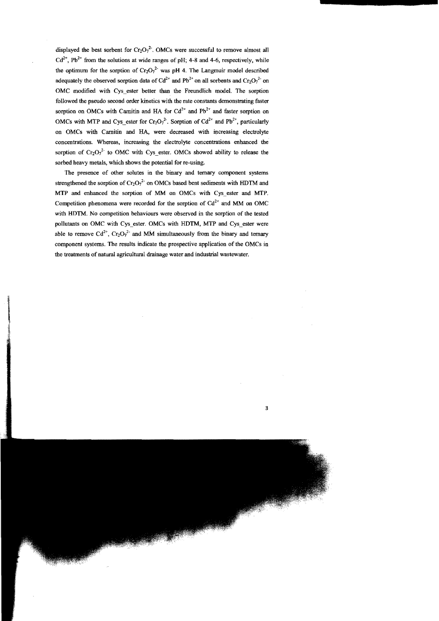displayed the best sorbent for  $Cr_2O_7^2$ . OMCs were successful to remove almost all  $Cd^{2+}$ , Pb<sup>2+</sup> from the solutions at wide ranges of pH; 4-8 and 4-6, respectively, while the optimum for the sorption of  $Cr_2O_7^{2}$  was pH 4. The Langramuir model described adequately the observed sorption data of  $Cd^{2+}$  and  $Pb^{2+}$  on all sorbents and  $Cr_2O_7^{2-}$  on OMC modified with Cys ester better than the Freundlich model. The sorption followed tbe pseudo second order kinetics with the rate constants demonstrating faster sorption on OMCs with Carnitin and HA for  $Cd^{2+}$  and Pb<sup>2+</sup> and faster sorption on OMCs with MTP and Cys\_ester for  $Cr_2O_7^2$ . Sorption of  $Cd^{2+}$  and  $Pb^{2+}$ , particularly on OMCs with Camitin and HA, were decreased witb increasing electrolyte concentrations. Whereas, increasing the electrolyte concentrations enhanced the sorption of  $Cr_2O_7^2$  to OMC with Cys ester. OMCs showed ability to release the sorbed heavy metals, which shows the potential for re-using.

The presence of other solutes in the binary and ternary component systems strengthened the sorption of  $Cr_2O_7^2$  on OMCs based bent sediments with HDTM and MTP and enhanced the sorption of MM on OMCs with Cys\_ester and MTP. Competition phenomena were recorded for the sorption of  $Cd^{2+}$  and MM on OMC with HDTM. No competition behaviours were observed in the sorption of the tested pollutants on OMC with Cys\_ester. OMCs\_with HDTM, MTP and Cys\_ester were able to remove  $Cd^{2+}$ ,  $Cr_2O_7^{2-}$  and MM simultaneously from the binary and ternary component systems. The results indicate the prospective application of the OMCs in the treatments of natural agricultural drainage water and industriaI wastewater.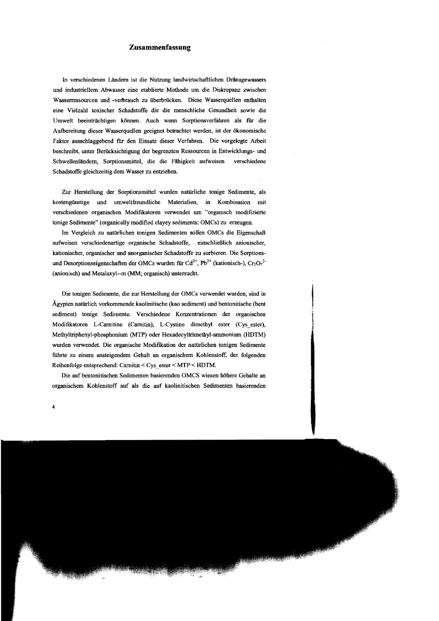## **Zusammenfassung**

In verschiedenen Ländern ist die Nutzung landwirtschaftlichen Dränagewassers und industriellem Abwasser eine etablierte Methode um die Diskrepanz zwischen Wasserressourcen und -verbrauch zu überbrücken. Diese Wasserquellen enthalten eine Vielzahl toxischer Schadstoffe die die menschliche Gesundheit sowie die Umwelt beeinträchtigen können. Auch wenn Sorptionsverfahren als für die Aufbereitung dieser Wasserquellen geeignet betrachtet werden, ist der ökonomische Faktor ausschlaggebend für den Einsatz dieser Verfahren. Die vorgelegte Arbeit beschreibt, unter Berucksichtigung der begrenzten Ressourcen in Entwicklungs- und Schwellenländern, Sorptionsmittel, die die Fähigkeit aufweisen verschiedene Schadstoffe gleichzeitig dem Wasser zu entziehen.

Zur Herstellung der Sorptionsmittel wurden natürliche tonige Sedimente, als kostengünstige und umweltfreundliche Materialien, in Kombination mit verschiedenen organischen Modifikatoren verwendet um "organisch modifIZierte tonige Sedimente" (organically modified c1ayey sediments: OMCs) zu erzeugen.

Im Vergleich zu natürlichen tonigen Sedimenten sollen OMCs die Eigenschaft aufweisen verschiedenartige organische Schadstoffe, einschließlich anionischer, kationischer, organischer und anorganischer Schadstoffe zu sorbieren. Die Sorptionsund Desorptionseigenschaften der OMCs wurden für Cd<sup>2+</sup>, Pb<sup>2+</sup> (kationisch-), Cr<sub>2</sub>O<sub>7</sub><sup>2</sup> (anionisch) and Metalaxyl--m (MM; organisch) untersucht.

Die tonigen Sedimente, die zur Herstellung der OMCs verwendet wurden, sind in Ägypten natürlich vorkommende kaolinitische (kao sediment) und bentonitische (bent sediment) tonige Sedimente. Verschiedene Konzentrationen der organischen Modiftkatoren L-Camitine (Camitin), L-Cystine dimethyl ester (Cys\_ester), Methyltriphenyl-phosphonium (MTP) oder Hexadecyltrimethyl-ammonium (HOTM) wurden verwendet. Die organische Modifikation der natürlichen tonigen Sedimente führte zu einem ansteigendem Gehalt an organischem Kohlenstoff, der folgenden Reihenfolge entsprechend: Camitin< Cys\_ester < MTP < HOTM.

Die anfbentonitischen Sedimenten basierenden OMCS wiesen höhere Gehalte an organischem Kohlenstoff auf als die auf kaolinitischen Sedimenten basierenden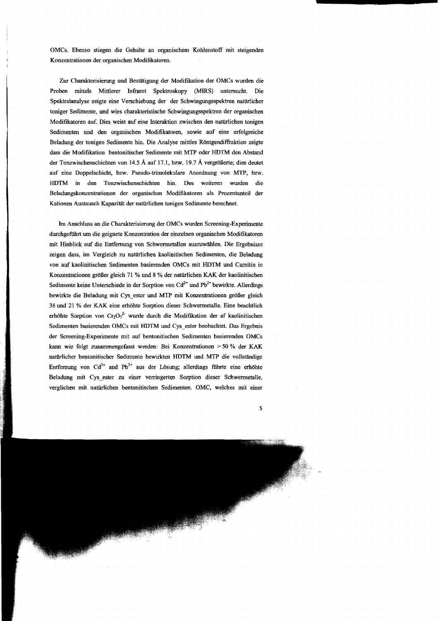OMCs. Ebenso stiegen die Gehalte an organischem Kohlenstoff mit steigenden Konzentrationen der organischen Modiflkatoren.

Zur Charakterisierung und Bestätigung der Modifikation der OMCs wurden die Proben mittels Mittlerer Infrarot Spektroskopy (MIRS) untersucht. Die Spektralanalyse zeigte eine Verschiebung der der Schwingungsspektren natürlicher toniger Sedimente, und wies charakteristische Scbwingungsspektren der organiscben Modifikatoren auf. Dies weist auf eine Interaktion zwischen den natürlichen tonigen Sedimenten und den organischen Modifikatoren, sowie auf eine erfolgreicbe Beladung der tonigen Sedimente hin. Die Analyse mittles Röntgendiffraktion zeigte dass die Modifikation bentonitischer Sedimente mit MTP oder HDTM den Abstand der Tonzwischenscbicbten von 14.5 Aauf 17.1, bzw. 19.7 A vergrößerte; dies deutet auf eine DoppeIschicht, bzw. Pseudo-trimolekulare Anordnung von MTP, bzw. HDTM in den Tonzwischenscbichten hin. Des weiteren wurden die Beladungskonzentrationen der organiscben Modifikatoren als Prozentanteil der Kationen Austausch Kapazität der natürlichen tonigen Sedimente berechnet.

Im Anscbluss an die Charakterisierung der OMCs wurden Screening-Experimente durchgeführt um die geignete Konzentration der einzelnen organischen Modifikatoren mit Hinblick auf die Entfernung von Schwermetallen auszuwählen. Die Ergebnisse zeigen dass, im Vergleich zu natürlichen kaolinitischen Sedimenten, die Beladung von auf kaolinitischen Sedimenten basierenden OMCs mit HDTM und Carnitin in Konzentrationen größer gleich 71 % und 8 % der natürlichen KAK der kaolinitischen Sedimente keine Unterschiede in der Sorption von  $Cd^{2+}$  und  $Pb^{2+}$  bewirkte. Allerdings bewirkte die Beladung mit Cys\_ester und MTP mit Konzentrationen größer gleich 38 und 21 % der KAK eine erhöhte Sorption dieser Schwermetalle. Eine beachtlich erhöhte Sorption von  $Cr_2O_7^2$  wurde durch die Modifikation der af kaolinitischen Sedimenten basierenden OMCs mit HDTM und Cys\_ester beobachtet. Das Ergebnis der Screening-Experimente mit auf bentonitischen Sedimenten basierenden OMCs kann wie folgt zusammengefasst werden: Bei Konzentrationen > 50 % der KAK natürlicher bentonitischer Sedimente bewirkten HDTM und MTP die vollständige Entfernung von Cd<sup>2+</sup> and Pb<sup>2+</sup> aus der Lösung; allerdings führte eine erhöhte Beladung mit Cys ester zu einer verringerten Sorption dieser Schwermetalle, verglichen mit natürlichen bentonitischen Sedimenten. OMC, welches mit einer

5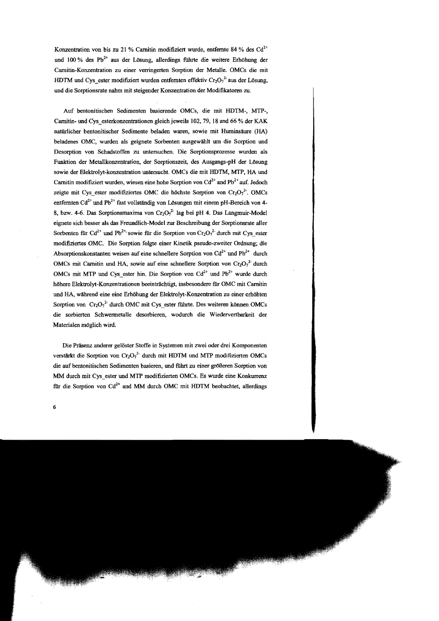Konzentration von bis zu 21 % Carnitin modifiziert wurde, entfernte 84 % des  $Cd^{2+}$ und 100 % des Pb<sup>2+</sup> aus der Lösung, allerdings führte die weitere Erhöhung der Carnitin-Konzentration zu einer verringerten Sorption der Metalle. OMCs die mit HDTM und Cys ester modifiziert wurden entfernten effektiv Cr<sub>2</sub>O<sub>7</sub><sup>2</sup> aus der Lösung, und die Sorptionsrate nahm mit steigender Konzentration der Modifikatoren zu.

Auf bentonitischen Sedimenten basierende OMCs, die mit HDTM-, MTP-, Camitin- und Cys\_esterkonzentrationen gleich jeweils 102,79, 18 and 66 % der KAK natürlicher bentonitischer Sedimente beladen waren, sowie mit Huminsäure (HA) beladenes OMC, wurden als geignete Sorbenten ausgewählt um die Sorption und Desorption von Schadstoffen zu untersuchen. Die Sorptionsprozesse wurden als Funktion der Metallkonzentration, der Sorptionszeit, des Ausgangs-pH der Lösung sowie der Elektrolyt-konzentration untersucht. OMCs die mit HDTM, MTP, HA und Carnitin modifiziert wurden, wiesen eine hohe Sorption von  $Cd^{2+}$  and  $Pb^{2+}$  auf. Jedoch zeigte mit Cys\_ester modifiziertes OMC die höchste Sorption von  $Cr_2O_7^2$ . OMCs entfernten Cd<sup>2+</sup> und Pb<sup>2+</sup> fast vollständig von Lösungen mit einem pH-Bereich von 4-8, bzw. 4-6. Das Sorptionsmaxima von  $Cr_2O_7^{2}$  lag bei pH 4. Das Langmuir-Model eignete sich besser als das Freundlich-Model zur Beschreibung der Sorptionsrate aller Sorbenten für Cd<sup>2+</sup> und Pb<sup>2+</sup> sowie für die Sorption von Cr<sub>2</sub>O<sub>7</sub><sup>2</sup> durch mit Cys\_ester modifiziertes OMC, Die Sorption folgte einer Kinetik pseudo-zweiter Ordoung; die Absorptionskonstanten weisen auf eine schnellere Sorption von  $Cd^{2+}$  und  $Pb^{2+}$  durch OMCs mit Carnitin und HA, sowie auf eine schnellere Sorption von  $Cr_2O_7^2$  durch OMCs mit MTP und Cys\_ester hin. Die Sorption von Cd<sup>2+</sup> und Pb<sup>2+</sup> wurde durch höhere Elektrolyt-Konzentrationen beeinträchtigt., insbesondere fiir OMC mit Camitin und HA, während eine eine Erhöhung der Elektrolyt-Konzentration zu einer erhöhten Sorption von  $Cr_2O_7^2$  durch OMC mit Cys ester führte. Des weiteren können OMCs die sorbierten Schwermetalle desotbieren, wodurch die Wiedervertbarkeit der Materialen möglich wird.

Die Präsenz anderer gelöster Stoffe in Systemen mit zwei oder drei Komponenten verstärkt die Sorption von  $Cr_2O_7^2$  durch mit HDTM und MTP modifizierten OMCs die auf bentonitischen Sedimenten basieren, und führt zu einer größeren Sorption von MM durch mit Cys\_ester und MTP modifizierten OMCs. Es wurde eine Konkurrenz für die Sorption von  $Cd^{2+}$  and MM durch OMC mit HDTM beobachtet, allerdings